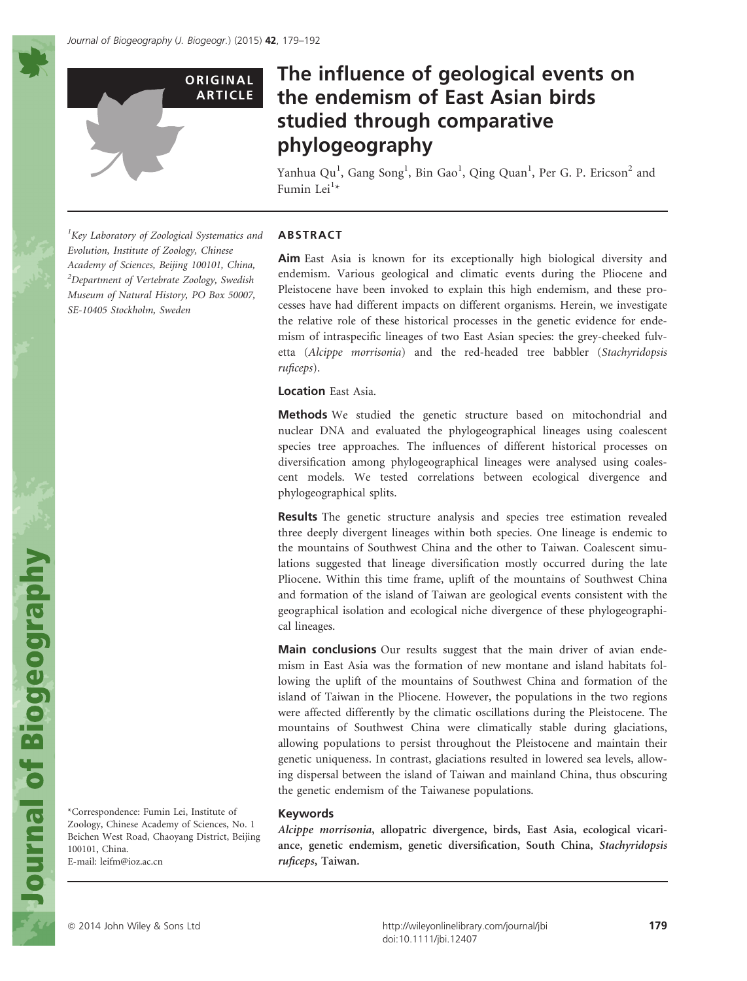

# The influence of geological events on the endemism of East Asian birds studied through comparative phylogeography

Yanhua Qu<sup>1</sup>, Gang Song<sup>1</sup>, Bin Gao<sup>1</sup>, Qing Quan<sup>1</sup>, Per G. P. Ericson<sup>2</sup> and Fumin Lei<sup>1\*</sup>

<sup>1</sup>Key Laboratory of Zoological Systematics and Evolution, Institute of Zoology, Chinese Academy of Sciences, Beijing 100101, China, <sup>2</sup>Department of Vertebrate Zoology, Swedish Museum of Natural History, PO Box 50007, SE-10405 Stockholm, Sweden

#### ABSTRACT

Aim East Asia is known for its exceptionally high biological diversity and endemism. Various geological and climatic events during the Pliocene and Pleistocene have been invoked to explain this high endemism, and these processes have had different impacts on different organisms. Herein, we investigate the relative role of these historical processes in the genetic evidence for endemism of intraspecific lineages of two East Asian species: the grey-cheeked fulvetta (Alcippe morrisonia) and the red-headed tree babbler (Stachyridopsis ruficeps).

Location East Asia.

Methods We studied the genetic structure based on mitochondrial and nuclear DNA and evaluated the phylogeographical lineages using coalescent species tree approaches. The influences of different historical processes on diversification among phylogeographical lineages were analysed using coalescent models. We tested correlations between ecological divergence and phylogeographical splits.

Results The genetic structure analysis and species tree estimation revealed three deeply divergent lineages within both species. One lineage is endemic to the mountains of Southwest China and the other to Taiwan. Coalescent simulations suggested that lineage diversification mostly occurred during the late Pliocene. Within this time frame, uplift of the mountains of Southwest China and formation of the island of Taiwan are geological events consistent with the geographical isolation and ecological niche divergence of these phylogeographical lineages.

**Main conclusions** Our results suggest that the main driver of avian endemism in East Asia was the formation of new montane and island habitats following the uplift of the mountains of Southwest China and formation of the island of Taiwan in the Pliocene. However, the populations in the two regions were affected differently by the climatic oscillations during the Pleistocene. The mountains of Southwest China were climatically stable during glaciations, allowing populations to persist throughout the Pleistocene and maintain their genetic uniqueness. In contrast, glaciations resulted in lowered sea levels, allowing dispersal between the island of Taiwan and mainland China, thus obscuring the genetic endemism of the Taiwanese populations.

Keywords

Alcippe morrisonia, allopatric divergence, birds, East Asia, ecological vicariance, genetic endemism, genetic diversification, South China, Stachyridopsis ruficeps, Taiwan.

Beichen West Road, Chaoyang District, Beijing 100101, China. E-mail: leifm@ioz.ac.cn

\*Correspondence: Fumin Lei, Institute of Zoology, Chinese Academy of Sciences, No. 1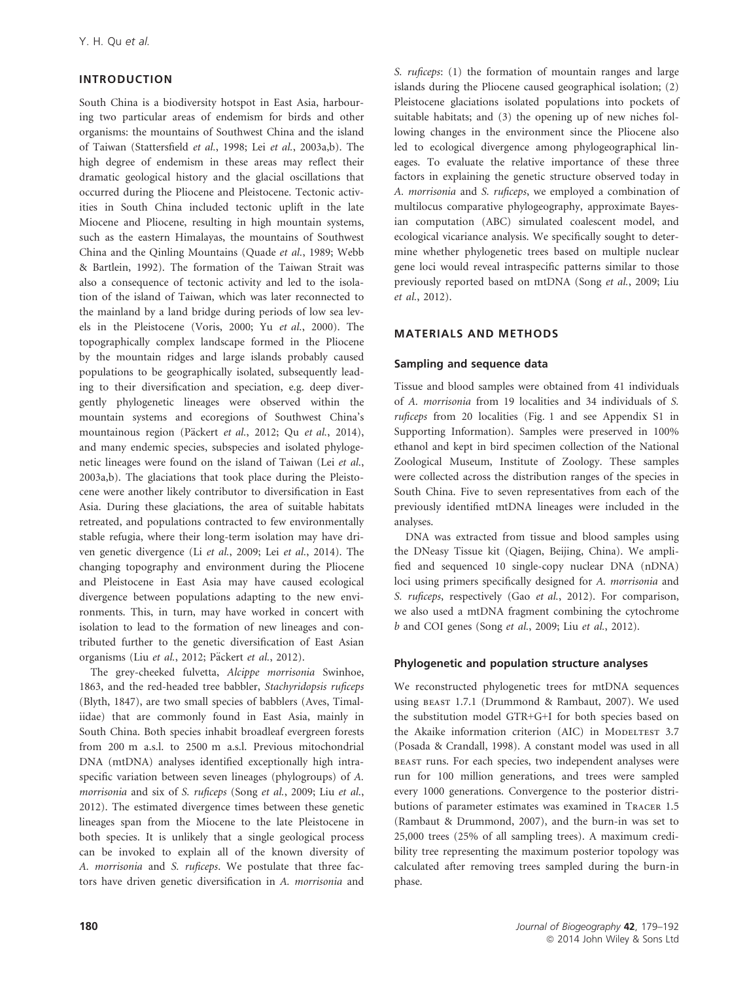## INTRODUCTION

South China is a biodiversity hotspot in East Asia, harbouring two particular areas of endemism for birds and other organisms: the mountains of Southwest China and the island of Taiwan (Stattersfield et al., 1998; Lei et al., 2003a,b). The high degree of endemism in these areas may reflect their dramatic geological history and the glacial oscillations that occurred during the Pliocene and Pleistocene. Tectonic activities in South China included tectonic uplift in the late Miocene and Pliocene, resulting in high mountain systems, such as the eastern Himalayas, the mountains of Southwest China and the Qinling Mountains (Quade et al., 1989; Webb & Bartlein, 1992). The formation of the Taiwan Strait was also a consequence of tectonic activity and led to the isolation of the island of Taiwan, which was later reconnected to the mainland by a land bridge during periods of low sea levels in the Pleistocene (Voris, 2000; Yu et al., 2000). The topographically complex landscape formed in the Pliocene by the mountain ridges and large islands probably caused populations to be geographically isolated, subsequently leading to their diversification and speciation, e.g. deep divergently phylogenetic lineages were observed within the mountain systems and ecoregions of Southwest China's mountainous region (Päckert et al., 2012; Qu et al., 2014), and many endemic species, subspecies and isolated phylogenetic lineages were found on the island of Taiwan (Lei et al., 2003a,b). The glaciations that took place during the Pleistocene were another likely contributor to diversification in East Asia. During these glaciations, the area of suitable habitats retreated, and populations contracted to few environmentally stable refugia, where their long-term isolation may have driven genetic divergence (Li et al., 2009; Lei et al., 2014). The changing topography and environment during the Pliocene and Pleistocene in East Asia may have caused ecological divergence between populations adapting to the new environments. This, in turn, may have worked in concert with isolation to lead to the formation of new lineages and contributed further to the genetic diversification of East Asian organisms (Liu et al., 2012; Päckert et al., 2012).

The grey-cheeked fulvetta, Alcippe morrisonia Swinhoe, 1863, and the red-headed tree babbler, Stachyridopsis ruficeps (Blyth, 1847), are two small species of babblers (Aves, Timaliidae) that are commonly found in East Asia, mainly in South China. Both species inhabit broadleaf evergreen forests from 200 m a.s.l. to 2500 m a.s.l. Previous mitochondrial DNA (mtDNA) analyses identified exceptionally high intraspecific variation between seven lineages (phylogroups) of A. morrisonia and six of S. ruficeps (Song et al., 2009; Liu et al., 2012). The estimated divergence times between these genetic lineages span from the Miocene to the late Pleistocene in both species. It is unlikely that a single geological process can be invoked to explain all of the known diversity of A. morrisonia and S. ruficeps. We postulate that three factors have driven genetic diversification in A. morrisonia and S. *ruficeps*: (1) the formation of mountain ranges and large islands during the Pliocene caused geographical isolation; (2) Pleistocene glaciations isolated populations into pockets of suitable habitats; and (3) the opening up of new niches following changes in the environment since the Pliocene also led to ecological divergence among phylogeographical lineages. To evaluate the relative importance of these three factors in explaining the genetic structure observed today in A. morrisonia and S. ruficeps, we employed a combination of multilocus comparative phylogeography, approximate Bayesian computation (ABC) simulated coalescent model, and ecological vicariance analysis. We specifically sought to determine whether phylogenetic trees based on multiple nuclear gene loci would reveal intraspecific patterns similar to those previously reported based on mtDNA (Song et al., 2009; Liu et al., 2012).

## MATERIALS AND METHODS

#### Sampling and sequence data

Tissue and blood samples were obtained from 41 individuals of A. morrisonia from 19 localities and 34 individuals of S. ruficeps from 20 localities (Fig. 1 and see Appendix S1 in Supporting Information). Samples were preserved in 100% ethanol and kept in bird specimen collection of the National Zoological Museum, Institute of Zoology. These samples were collected across the distribution ranges of the species in South China. Five to seven representatives from each of the previously identified mtDNA lineages were included in the analyses.

DNA was extracted from tissue and blood samples using the DNeasy Tissue kit (Qiagen, Beijing, China). We amplified and sequenced 10 single-copy nuclear DNA (nDNA) loci using primers specifically designed for A. morrisonia and S. ruficeps, respectively (Gao et al., 2012). For comparison, we also used a mtDNA fragment combining the cytochrome b and COI genes (Song et al., 2009; Liu et al., 2012).

#### Phylogenetic and population structure analyses

We reconstructed phylogenetic trees for mtDNA sequences using beast 1.7.1 (Drummond & Rambaut, 2007). We used the substitution model GTR+G+I for both species based on the Akaike information criterion (AIC) in MODELTEST 3.7 (Posada & Crandall, 1998). A constant model was used in all beast runs. For each species, two independent analyses were run for 100 million generations, and trees were sampled every 1000 generations. Convergence to the posterior distributions of parameter estimates was examined in TRACER 1.5 (Rambaut & Drummond, 2007), and the burn-in was set to 25,000 trees (25% of all sampling trees). A maximum credibility tree representing the maximum posterior topology was calculated after removing trees sampled during the burn-in phase.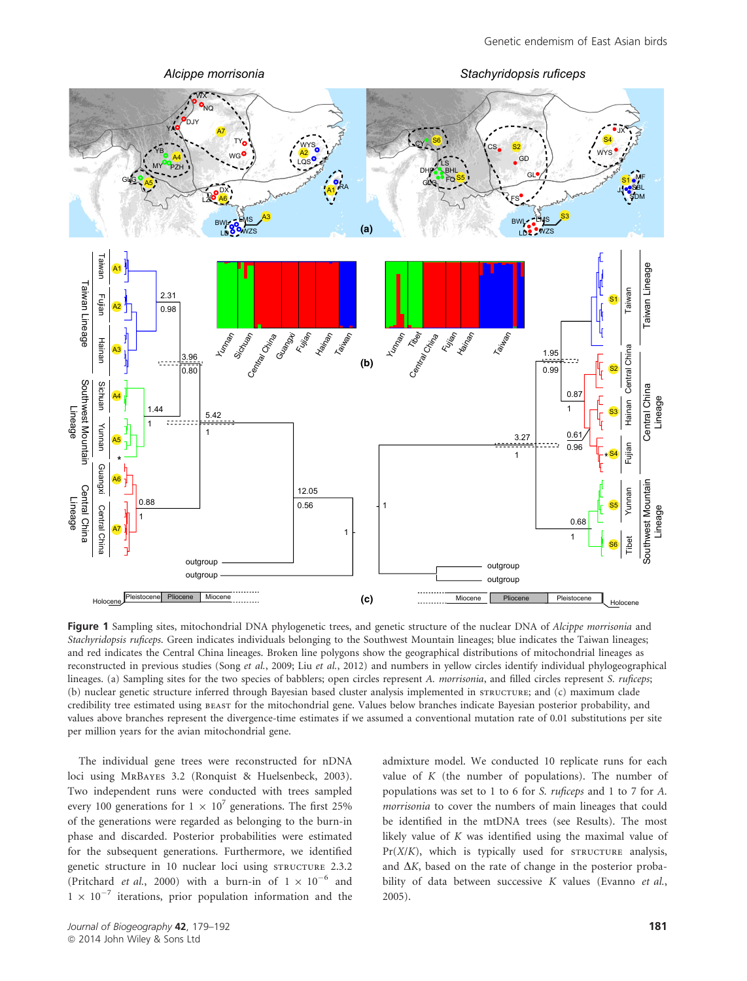

Figure 1 Sampling sites, mitochondrial DNA phylogenetic trees, and genetic structure of the nuclear DNA of Alcippe morrisonia and Stachyridopsis ruficeps. Green indicates individuals belonging to the Southwest Mountain lineages; blue indicates the Taiwan lineages; and red indicates the Central China lineages. Broken line polygons show the geographical distributions of mitochondrial lineages as reconstructed in previous studies (Song et al., 2009; Liu et al., 2012) and numbers in yellow circles identify individual phylogeographical lineages. (a) Sampling sites for the two species of babblers; open circles represent A. morrisonia, and filled circles represent S. ruficeps; (b) nuclear genetic structure inferred through Bayesian based cluster analysis implemented in structure; and (c) maximum clade credibility tree estimated using beast for the mitochondrial gene. Values below branches indicate Bayesian posterior probability, and values above branches represent the divergence-time estimates if we assumed a conventional mutation rate of 0.01 substitutions per site per million years for the avian mitochondrial gene.

The individual gene trees were reconstructed for nDNA loci using MrBayes 3.2 (Ronquist & Huelsenbeck, 2003). Two independent runs were conducted with trees sampled every 100 generations for  $1 \times 10^7$  generations. The first 25% of the generations were regarded as belonging to the burn-in phase and discarded. Posterior probabilities were estimated for the subsequent generations. Furthermore, we identified genetic structure in 10 nuclear loci using STRUCTURE 2.3.2 (Pritchard *et al.*, 2000) with a burn-in of  $1 \times 10^{-6}$  and  $1 \times 10^{-7}$  iterations, prior population information and the

admixture model. We conducted 10 replicate runs for each value of  $K$  (the number of populations). The number of populations was set to 1 to 6 for S. ruficeps and 1 to 7 for A. morrisonia to cover the numbers of main lineages that could be identified in the mtDNA trees (see Results). The most likely value of  $K$  was identified using the maximal value of  $Pr(X/K)$ , which is typically used for  $STRUCTURE$  analysis, and  $\Delta K$ , based on the rate of change in the posterior probability of data between successive K values (Evanno et al., 2005).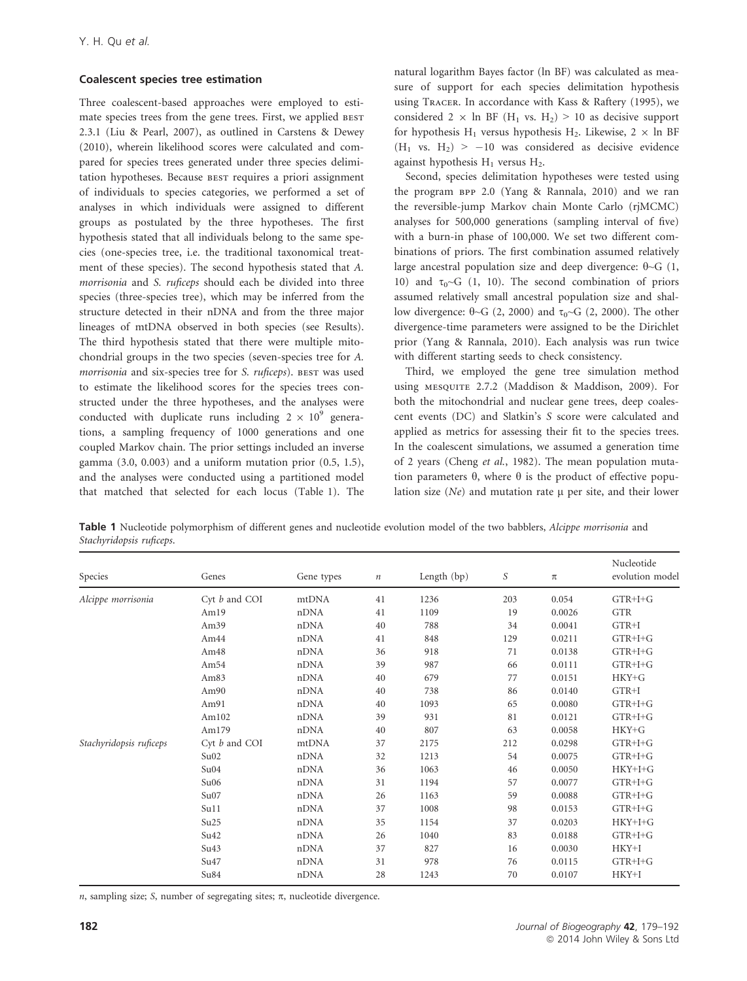#### Coalescent species tree estimation

Three coalescent-based approaches were employed to estimate species trees from the gene trees. First, we applied BEST 2.3.1 (Liu & Pearl, 2007), as outlined in Carstens & Dewey (2010), wherein likelihood scores were calculated and compared for species trees generated under three species delimitation hypotheses. Because BEST requires a priori assignment of individuals to species categories, we performed a set of analyses in which individuals were assigned to different groups as postulated by the three hypotheses. The first hypothesis stated that all individuals belong to the same species (one-species tree, i.e. the traditional taxonomical treatment of these species). The second hypothesis stated that A. morrisonia and S. ruficeps should each be divided into three species (three-species tree), which may be inferred from the structure detected in their nDNA and from the three major lineages of mtDNA observed in both species (see Results). The third hypothesis stated that there were multiple mitochondrial groups in the two species (seven-species tree for A. morrisonia and six-species tree for S. ruficeps). BEST was used to estimate the likelihood scores for the species trees constructed under the three hypotheses, and the analyses were conducted with duplicate runs including  $2 \times 10^9$  generations, a sampling frequency of 1000 generations and one coupled Markov chain. The prior settings included an inverse gamma (3.0, 0.003) and a uniform mutation prior (0.5, 1.5), and the analyses were conducted using a partitioned model that matched that selected for each locus (Table 1). The natural logarithm Bayes factor (ln BF) was calculated as measure of support for each species delimitation hypothesis using Tracer. In accordance with Kass & Raftery (1995), we considered 2  $\times$  ln BF (H<sub>1</sub> vs. H<sub>2</sub>) > 10 as decisive support for hypothesis H<sub>1</sub> versus hypothesis H<sub>2</sub>. Likewise,  $2 \times \ln \text{BF}$  $(H_1 \text{ vs. } H_2) > -10$  was considered as decisive evidence against hypothesis  $H_1$  versus  $H_2$ .

Second, species delimitation hypotheses were tested using the program bpp 2.0 (Yang & Rannala, 2010) and we ran the reversible-jump Markov chain Monte Carlo (rjMCMC) analyses for 500,000 generations (sampling interval of five) with a burn-in phase of 100,000. We set two different combinations of priors. The first combination assumed relatively large ancestral population size and deep divergence:  $\theta \sim G$  (1, 10) and  $\tau_0$  (1, 10). The second combination of priors assumed relatively small ancestral population size and shallow divergence:  $\theta$  
<sup>O</sup>G (2, 2000) and  $\tau_0$ <sup>O</sup>G (2, 2000). The other divergence-time parameters were assigned to be the Dirichlet prior (Yang & Rannala, 2010). Each analysis was run twice with different starting seeds to check consistency.

Third, we employed the gene tree simulation method using mesquite 2.7.2 (Maddison & Maddison, 2009). For both the mitochondrial and nuclear gene trees, deep coalescent events (DC) and Slatkin's S score were calculated and applied as metrics for assessing their fit to the species trees. In the coalescent simulations, we assumed a generation time of 2 years (Cheng et al., 1982). The mean population mutation parameters  $\theta$ , where  $\theta$  is the product of effective population size  $(Ne)$  and mutation rate  $\mu$  per site, and their lower

Table 1 Nucleotide polymorphism of different genes and nucleotide evolution model of the two babblers, Alcippe morrisonia and Stachyridopsis ruficeps.

| Species                 | Genes           | Gene types | $\it n$ | Length (bp) | S   | $\pi$  | Nucleotide<br>evolution model |
|-------------------------|-----------------|------------|---------|-------------|-----|--------|-------------------------------|
| Alcippe morrisonia      | Cyt $b$ and COI | mtDNA      | 41      | 1236        | 203 | 0.054  | $GTR+I+G$                     |
|                         | Am19            | nDNA       | 41      | 1109        | 19  | 0.0026 | <b>GTR</b>                    |
|                         | Am39            | nDNA       | 40      | 788         | 34  | 0.0041 | $GTR+I$                       |
|                         | Am44            | nDNA       | 41      | 848         | 129 | 0.0211 | $GTR+I+G$                     |
|                         | Am48            | nDNA       | 36      | 918         | 71  | 0.0138 | $GTR+I+G$                     |
|                         | Am54            | nDNA       | 39      | 987         | 66  | 0.0111 | $GTR+I+G$                     |
|                         | Am83            | nDNA       | 40      | 679         | 77  | 0.0151 | $HKY + G$                     |
|                         | Am90            | nDNA       | 40      | 738         | 86  | 0.0140 | $GTR+I$                       |
|                         | Am91            | nDNA       | 40      | 1093        | 65  | 0.0080 | $GTR+I+G$                     |
|                         | Am102           | nDNA       | 39      | 931         | 81  | 0.0121 | $GTR+I+G$                     |
|                         | Am179           | nDNA       | 40      | 807         | 63  | 0.0058 | $HKY + G$                     |
| Stachyridopsis ruficeps | Cyt b and COI   | mtDNA      | 37      | 2175        | 212 | 0.0298 | $GTR+I+G$                     |
|                         | Su02            | nDNA       | 32      | 1213        | 54  | 0.0075 | $GTR+I+G$                     |
|                         | Su04            | nDNA       | 36      | 1063        | 46  | 0.0050 | $HKY+I+G$                     |
|                         | Su06            | nDNA       | 31      | 1194        | 57  | 0.0077 | $GTR+I+G$                     |
|                         | Su07            | nDNA       | 26      | 1163        | 59  | 0.0088 | $GTR+I+G$                     |
|                         | Sull            | nDNA       | 37      | 1008        | 98  | 0.0153 | $GTR+I+G$                     |
|                         | Su25            | nDNA       | 35      | 1154        | 37  | 0.0203 | $HKY+I+G$                     |
|                         | Su42            | nDNA       | 26      | 1040        | 83  | 0.0188 | $GTR+I+G$                     |
|                         | Su43            | nDNA       | 37      | 827         | 16  | 0.0030 | $HKY+I$                       |
|                         | Su47            | nDNA       | 31      | 978         | 76  | 0.0115 | $GTR+I+G$                     |
|                         | Su84            | nDNA       | 28      | 1243        | 70  | 0.0107 | $HKY+I$                       |

 $n$ , sampling size; S, number of segregating sites;  $\pi$ , nucleotide divergence.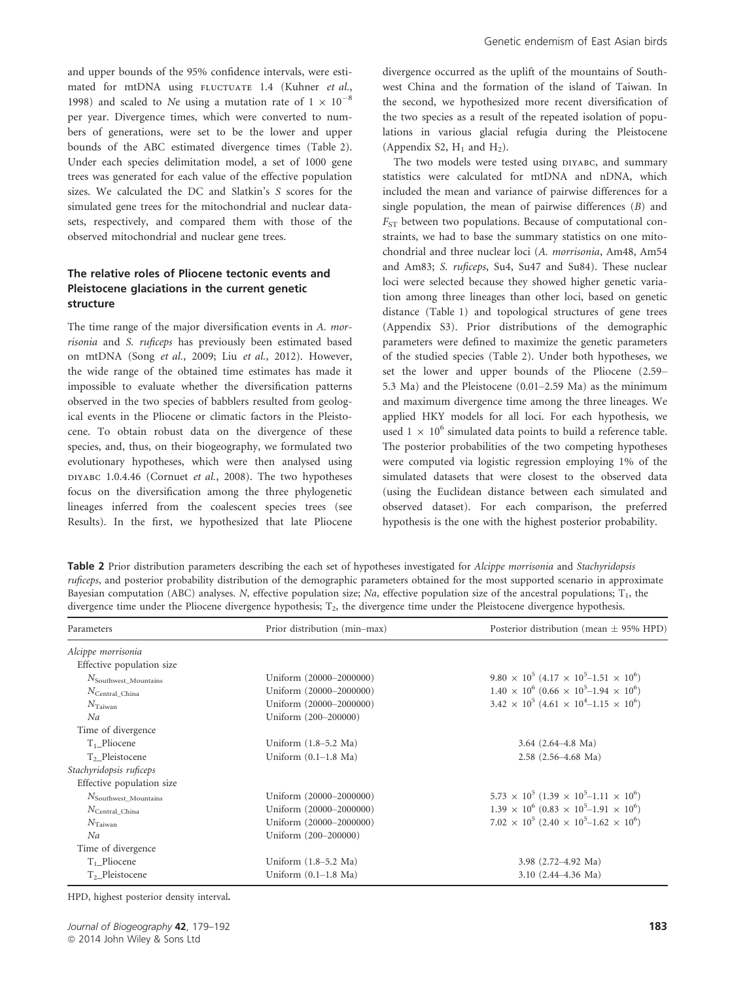and upper bounds of the 95% confidence intervals, were estimated for mtDNA using FLUCTUATE 1.4 (Kuhner et al., 1998) and scaled to Ne using a mutation rate of  $1 \times 10^{-8}$ per year. Divergence times, which were converted to numbers of generations, were set to be the lower and upper bounds of the ABC estimated divergence times (Table 2). Under each species delimitation model, a set of 1000 gene trees was generated for each value of the effective population sizes. We calculated the DC and Slatkin's S scores for the simulated gene trees for the mitochondrial and nuclear datasets, respectively, and compared them with those of the observed mitochondrial and nuclear gene trees.

## The relative roles of Pliocene tectonic events and Pleistocene glaciations in the current genetic structure

The time range of the major diversification events in A. morrisonia and S. ruficeps has previously been estimated based on mtDNA (Song et al., 2009; Liu et al., 2012). However, the wide range of the obtained time estimates has made it impossible to evaluate whether the diversification patterns observed in the two species of babblers resulted from geological events in the Pliocene or climatic factors in the Pleistocene. To obtain robust data on the divergence of these species, and, thus, on their biogeography, we formulated two evolutionary hypotheses, which were then analysed using DIYABC 1.0.4.46 (Cornuet et al., 2008). The two hypotheses focus on the diversification among the three phylogenetic lineages inferred from the coalescent species trees (see Results). In the first, we hypothesized that late Pliocene divergence occurred as the uplift of the mountains of Southwest China and the formation of the island of Taiwan. In the second, we hypothesized more recent diversification of the two species as a result of the repeated isolation of populations in various glacial refugia during the Pleistocene (Appendix S2,  $H_1$  and  $H_2$ ).

The two models were tested using DIYABC, and summary statistics were calculated for mtDNA and nDNA, which included the mean and variance of pairwise differences for a single population, the mean of pairwise differences (B) and  $F<sub>ST</sub>$  between two populations. Because of computational constraints, we had to base the summary statistics on one mitochondrial and three nuclear loci (A. morrisonia, Am48, Am54 and Am83; S. ruficeps, Su4, Su47 and Su84). These nuclear loci were selected because they showed higher genetic variation among three lineages than other loci, based on genetic distance (Table 1) and topological structures of gene trees (Appendix S3). Prior distributions of the demographic parameters were defined to maximize the genetic parameters of the studied species (Table 2). Under both hypotheses, we set the lower and upper bounds of the Pliocene (2.59– 5.3 Ma) and the Pleistocene (0.01–2.59 Ma) as the minimum and maximum divergence time among the three lineages. We applied HKY models for all loci. For each hypothesis, we used  $1 \times 10^6$  simulated data points to build a reference table. The posterior probabilities of the two competing hypotheses were computed via logistic regression employing 1% of the simulated datasets that were closest to the observed data (using the Euclidean distance between each simulated and observed dataset). For each comparison, the preferred hypothesis is the one with the highest posterior probability.

Table 2 Prior distribution parameters describing the each set of hypotheses investigated for Alcippe morrisonia and Stachyridopsis ruficeps, and posterior probability distribution of the demographic parameters obtained for the most supported scenario in approximate Bayesian computation (ABC) analyses. N, effective population size; Na, effective population size of the ancestral populations;  $T_1$ , the divergence time under the Pliocene divergence hypothesis; T<sub>2</sub>, the divergence time under the Pleistocene divergence hypothesis.

| Parameters                       | Prior distribution (min-max)   | Posterior distribution (mean $\pm$ 95% HPD)                                        |
|----------------------------------|--------------------------------|------------------------------------------------------------------------------------|
| Alcippe morrisonia               |                                |                                                                                    |
| Effective population size        |                                |                                                                                    |
| N <sub>Southwest</sub> Mountains | Uniform (20000–2000000)        | $9.80 \times 10^5$ (4.17 $\times 10^5$ -1.51 $\times 10^6$ )                       |
| $N_{\text{Central China}}$       | Uniform (20000-2000000)        | $1.40 \times 10^6 (0.66 \times 10^5 - 1.94 \times 10^6)$                           |
| $N_{\text{Taiwan}}$              | Uniform (20000-2000000)        | $3.42 \times 10^5$ (4.61 $\times 10^4$ -1.15 $\times 10^6$ )                       |
| Na                               | Uniform (200-200000)           |                                                                                    |
| Time of divergence               |                                |                                                                                    |
| $T_1$ Pliocene                   | Uniform $(1.8-5.2 \text{ Ma})$ | 3.64 $(2.64-4.8 \text{ Ma})$                                                       |
| T <sub>2</sub> Pleistocene       | Uniform $(0.1-1.8 \text{ Ma})$ | $2.58$ (2.56-4.68 Ma)                                                              |
| Stachyridopsis ruficeps          |                                |                                                                                    |
| Effective population size        |                                |                                                                                    |
| $N_{\text{Southwest}$ Mountains  | Uniform (20000–2000000)        | $5.73 \times 10^5$ (1.39 $\times 10^5$ -1.11 $\times 10^6$ )                       |
| $N_{\text{Central China}}$       | Uniform (20000-2000000)        | $1.39 \times 10^6$ (0.83 $\times 10^5$ -1.91 $\times 10^6$ )                       |
| $N_{\text{Taiwan}}$              | Uniform (20000-2000000)        | $7.02 \times 10^5$ (2.40 $\times$ 10 <sup>5</sup> -1.62 $\times$ 10 <sup>6</sup> ) |
| Na                               | Uniform (200-200000)           |                                                                                    |
| Time of divergence               |                                |                                                                                    |
| $T_1$ -Pliocene                  | Uniform $(1.8-5.2 \text{ Ma})$ | 3.98 $(2.72 - 4.92 \text{ Ma})$                                                    |
| T <sub>2</sub> Pleistocene       | Uniform $(0.1-1.8 \text{ Ma})$ | 3.10 $(2.44 - 4.36$ Ma)                                                            |

HPD, highest posterior density interval.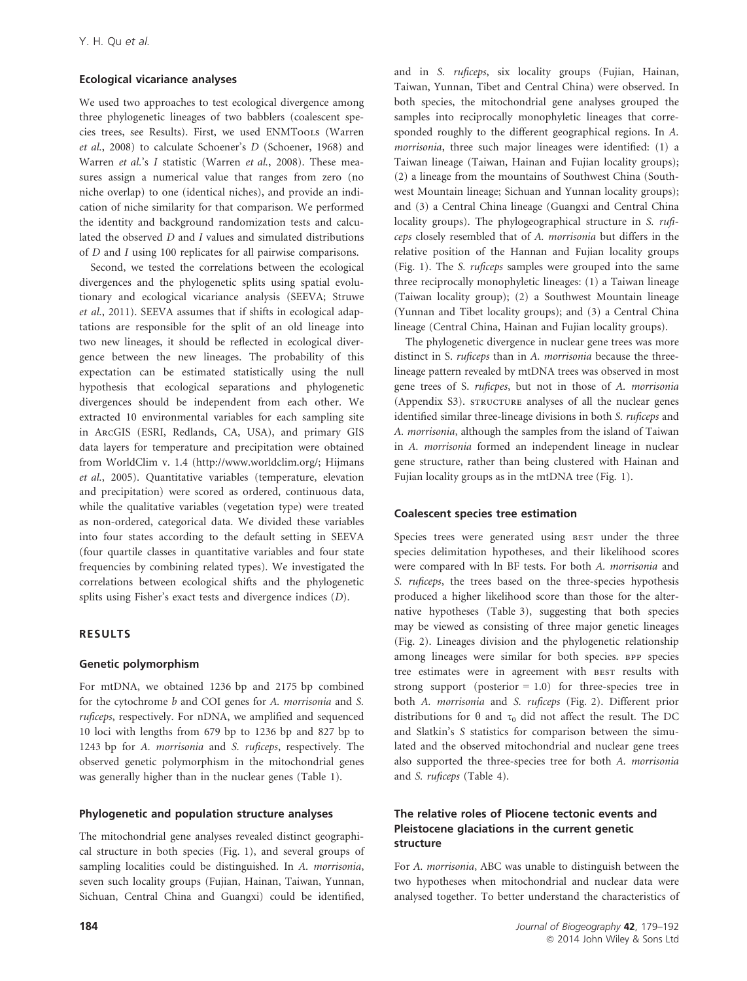### Ecological vicariance analyses

We used two approaches to test ecological divergence among three phylogenetic lineages of two babblers (coalescent species trees, see Results). First, we used ENMTooLs (Warren et al., 2008) to calculate Schoener's D (Schoener, 1968) and Warren et al.'s I statistic (Warren et al., 2008). These measures assign a numerical value that ranges from zero (no niche overlap) to one (identical niches), and provide an indication of niche similarity for that comparison. We performed the identity and background randomization tests and calculated the observed D and I values and simulated distributions of D and I using 100 replicates for all pairwise comparisons.

Second, we tested the correlations between the ecological divergences and the phylogenetic splits using spatial evolutionary and ecological vicariance analysis (SEEVA; Struwe et al., 2011). SEEVA assumes that if shifts in ecological adaptations are responsible for the split of an old lineage into two new lineages, it should be reflected in ecological divergence between the new lineages. The probability of this expectation can be estimated statistically using the null hypothesis that ecological separations and phylogenetic divergences should be independent from each other. We extracted 10 environmental variables for each sampling site in ArcGIS (ESRI, Redlands, CA, USA), and primary GIS data layers for temperature and precipitation were obtained from WorldClim v. 1.4 (http://www.worldclim.org/; Hijmans et al., 2005). Quantitative variables (temperature, elevation and precipitation) were scored as ordered, continuous data, while the qualitative variables (vegetation type) were treated as non-ordered, categorical data. We divided these variables into four states according to the default setting in SEEVA (four quartile classes in quantitative variables and four state frequencies by combining related types). We investigated the correlations between ecological shifts and the phylogenetic splits using Fisher's exact tests and divergence indices (D).

## RESULTS

#### Genetic polymorphism

For mtDNA, we obtained 1236 bp and 2175 bp combined for the cytochrome b and COI genes for A. morrisonia and S. ruficeps, respectively. For nDNA, we amplified and sequenced 10 loci with lengths from 679 bp to 1236 bp and 827 bp to 1243 bp for A. morrisonia and S. ruficeps, respectively. The observed genetic polymorphism in the mitochondrial genes was generally higher than in the nuclear genes (Table 1).

#### Phylogenetic and population structure analyses

The mitochondrial gene analyses revealed distinct geographical structure in both species (Fig. 1), and several groups of sampling localities could be distinguished. In A. *morrisonia*, seven such locality groups (Fujian, Hainan, Taiwan, Yunnan, Sichuan, Central China and Guangxi) could be identified,

184

and in S. ruficeps, six locality groups (Fujian, Hainan, Taiwan, Yunnan, Tibet and Central China) were observed. In both species, the mitochondrial gene analyses grouped the samples into reciprocally monophyletic lineages that corresponded roughly to the different geographical regions. In A. morrisonia, three such major lineages were identified: (1) a Taiwan lineage (Taiwan, Hainan and Fujian locality groups); (2) a lineage from the mountains of Southwest China (Southwest Mountain lineage; Sichuan and Yunnan locality groups); and (3) a Central China lineage (Guangxi and Central China locality groups). The phylogeographical structure in S. ruficeps closely resembled that of A. morrisonia but differs in the relative position of the Hannan and Fujian locality groups (Fig. 1). The S. ruficeps samples were grouped into the same three reciprocally monophyletic lineages: (1) a Taiwan lineage (Taiwan locality group); (2) a Southwest Mountain lineage (Yunnan and Tibet locality groups); and (3) a Central China lineage (Central China, Hainan and Fujian locality groups).

The phylogenetic divergence in nuclear gene trees was more distinct in S. *ruficeps* than in A. *morrisonia* because the threelineage pattern revealed by mtDNA trees was observed in most gene trees of S. ruficpes, but not in those of A. morrisonia (Appendix S3). STRUCTURE analyses of all the nuclear genes identified similar three-lineage divisions in both S. ruficeps and A. morrisonia, although the samples from the island of Taiwan in A. morrisonia formed an independent lineage in nuclear gene structure, rather than being clustered with Hainan and Fujian locality groups as in the mtDNA tree (Fig. 1).

#### Coalescent species tree estimation

Species trees were generated using BEST under the three species delimitation hypotheses, and their likelihood scores were compared with ln BF tests. For both A. morrisonia and S. *ruficeps*, the trees based on the three-species hypothesis produced a higher likelihood score than those for the alternative hypotheses (Table 3), suggesting that both species may be viewed as consisting of three major genetic lineages (Fig. 2). Lineages division and the phylogenetic relationship among lineages were similar for both species. BPP species tree estimates were in agreement with BEST results with strong support (posterior  $= 1.0$ ) for three-species tree in both A. morrisonia and S. ruficeps (Fig. 2). Different prior distributions for  $\theta$  and  $\tau_0$  did not affect the result. The DC and Slatkin's S statistics for comparison between the simulated and the observed mitochondrial and nuclear gene trees also supported the three-species tree for both A. morrisonia and S. ruficeps (Table 4).

## The relative roles of Pliocene tectonic events and Pleistocene glaciations in the current genetic structure

For A. morrisonia, ABC was unable to distinguish between the two hypotheses when mitochondrial and nuclear data were analysed together. To better understand the characteristics of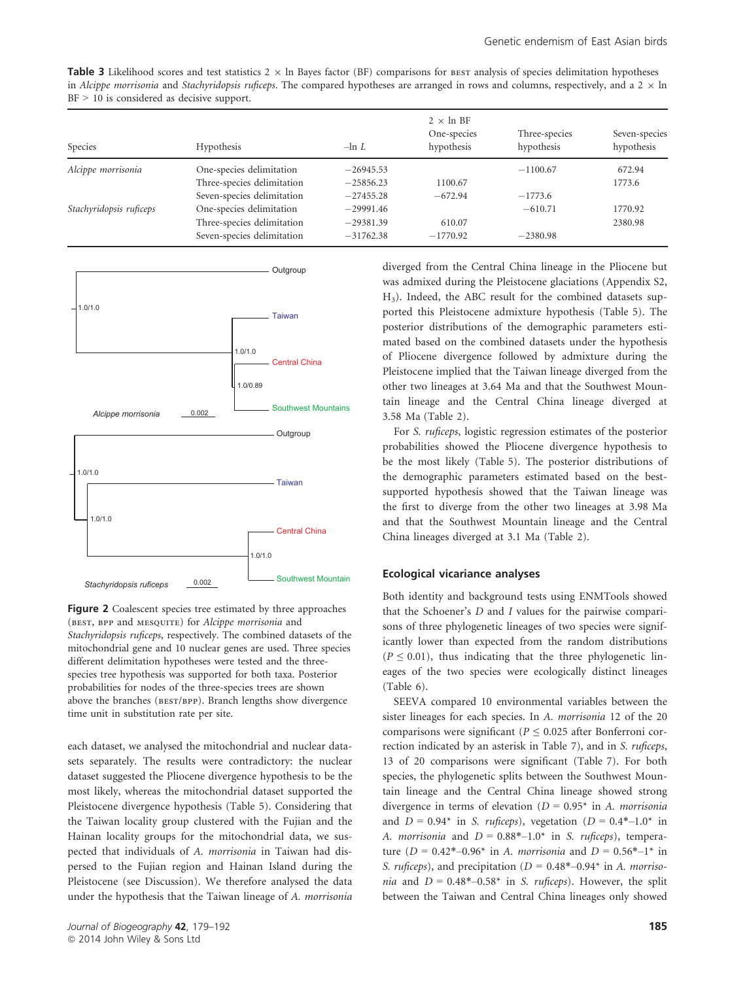**Table 3** Likelihood scores and test statistics  $2 \times \ln$  Bayes factor (BF) comparisons for best analysis of species delimitation hypotheses in Alcippe morrisonia and Stachyridopsis ruficeps. The compared hypotheses are arranged in rows and columns, respectively, and a  $2 \times \ln$  $BF > 10$  is considered as decisive support.

| Species                 | Hypothesis                 | $-\ln L$    | $2 \times \ln$ BF<br>One-species<br>hypothesis | Three-species<br>hypothesis | Seven-species<br>hypothesis |
|-------------------------|----------------------------|-------------|------------------------------------------------|-----------------------------|-----------------------------|
| Alcippe morrisonia      | One-species delimitation   | $-26945.53$ |                                                | $-1100.67$                  | 672.94                      |
|                         | Three-species delimitation | $-25856.23$ | 1100.67                                        |                             | 1773.6                      |
|                         | Seven-species delimitation | $-27455.28$ | $-672.94$                                      | $-1773.6$                   |                             |
| Stachyridopsis ruficeps | One-species delimitation   | $-29991.46$ |                                                | $-610.71$                   | 1770.92                     |
|                         | Three-species delimitation | $-29381.39$ | 610.07                                         |                             | 2380.98                     |
|                         | Seven-species delimitation | $-31762.38$ | $-1770.92$                                     | $-2380.98$                  |                             |



Figure 2 Coalescent species tree estimated by three approaches (BEST, BPP and MESQUITE) for Alcippe morrisonia and Stachyridopsis ruficeps, respectively. The combined datasets of the mitochondrial gene and 10 nuclear genes are used. Three species different delimitation hypotheses were tested and the threespecies tree hypothesis was supported for both taxa. Posterior probabilities for nodes of the three-species trees are shown above the branches (best/bpp). Branch lengths show divergence time unit in substitution rate per site.

each dataset, we analysed the mitochondrial and nuclear datasets separately. The results were contradictory: the nuclear dataset suggested the Pliocene divergence hypothesis to be the most likely, whereas the mitochondrial dataset supported the Pleistocene divergence hypothesis (Table 5). Considering that the Taiwan locality group clustered with the Fujian and the Hainan locality groups for the mitochondrial data, we suspected that individuals of A. morrisonia in Taiwan had dispersed to the Fujian region and Hainan Island during the Pleistocene (see Discussion). We therefore analysed the data under the hypothesis that the Taiwan lineage of A. morrisonia diverged from the Central China lineage in the Pliocene but was admixed during the Pleistocene glaciations (Appendix S2, H3). Indeed, the ABC result for the combined datasets supported this Pleistocene admixture hypothesis (Table 5). The posterior distributions of the demographic parameters estimated based on the combined datasets under the hypothesis of Pliocene divergence followed by admixture during the Pleistocene implied that the Taiwan lineage diverged from the other two lineages at 3.64 Ma and that the Southwest Mountain lineage and the Central China lineage diverged at 3.58 Ma (Table 2).

For S. ruficeps, logistic regression estimates of the posterior probabilities showed the Pliocene divergence hypothesis to be the most likely (Table 5). The posterior distributions of the demographic parameters estimated based on the bestsupported hypothesis showed that the Taiwan lineage was the first to diverge from the other two lineages at 3.98 Ma and that the Southwest Mountain lineage and the Central China lineages diverged at 3.1 Ma (Table 2).

#### Ecological vicariance analyses

Both identity and background tests using ENMTools showed that the Schoener's D and I values for the pairwise comparisons of three phylogenetic lineages of two species were significantly lower than expected from the random distributions  $(P \le 0.01)$ , thus indicating that the three phylogenetic lineages of the two species were ecologically distinct lineages (Table 6).

SEEVA compared 10 environmental variables between the sister lineages for each species. In A. morrisonia 12 of the 20 comparisons were significant ( $P \le 0.025$  after Bonferroni correction indicated by an asterisk in Table 7), and in S. ruficeps, 13 of 20 comparisons were significant (Table 7). For both species, the phylogenetic splits between the Southwest Mountain lineage and the Central China lineage showed strong divergence in terms of elevation  $(D = 0.95^*$  in A. morrisonia and  $D = 0.94*$  in S. ruficeps), vegetation ( $D = 0.4*-1.0*$  in A. morrisonia and  $D = 0.88^* - 1.0^*$  in S. ruficeps), temperature ( $D = 0.42^* - 0.96^*$  in A. morrisonia and  $D = 0.56^* - 1^*$  in S. ruficeps), and precipitation ( $D = 0.48^*$ –0.94<sup>\*</sup> in A. morriso*nia* and  $D = 0.48^* - 0.58^*$  in S. *ruficeps*). However, the split between the Taiwan and Central China lineages only showed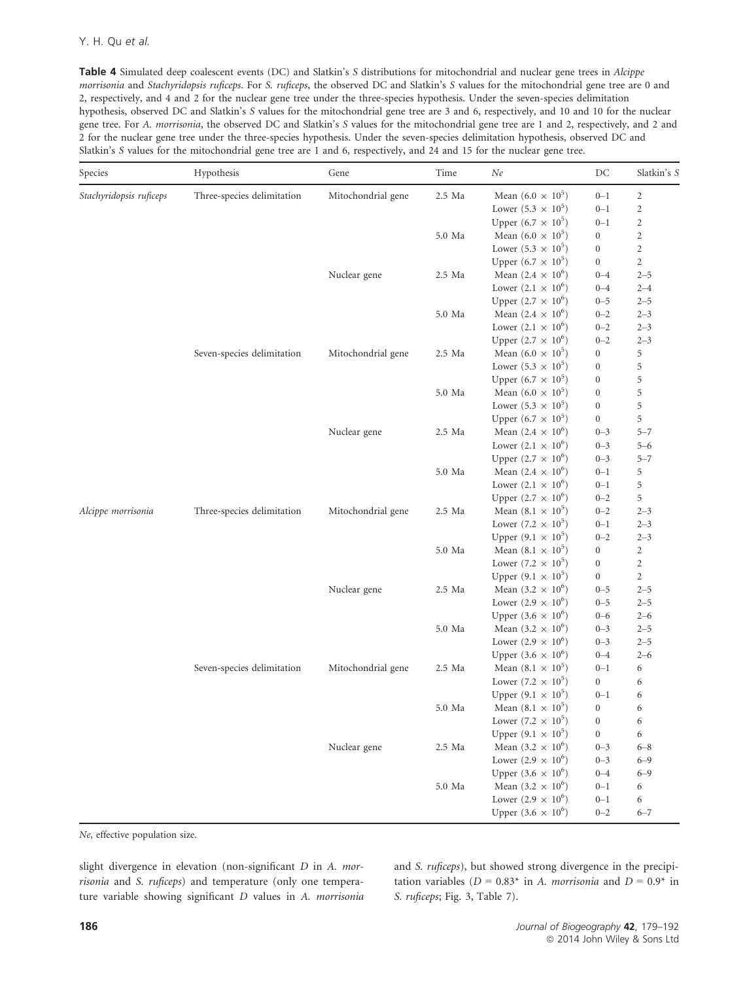## Y. H. Qu et al.

Table 4 Simulated deep coalescent events (DC) and Slatkin's S distributions for mitochondrial and nuclear gene trees in Alcippe morrisonia and Stachyridopsis ruficeps. For S. ruficeps, the observed DC and Slatkin's S values for the mitochondrial gene tree are 0 and 2, respectively, and 4 and 2 for the nuclear gene tree under the three-species hypothesis. Under the seven-species delimitation hypothesis, observed DC and Slatkin's S values for the mitochondrial gene tree are 3 and 6, respectively, and 10 and 10 for the nuclear gene tree. For A. morrisonia, the observed DC and Slatkin's S values for the mitochondrial gene tree are 1 and 2, respectively, and 2 and 2 for the nuclear gene tree under the three-species hypothesis. Under the seven-species delimitation hypothesis, observed DC and Slatkin's S values for the mitochondrial gene tree are 1 and 6, respectively, and 24 and 15 for the nuclear gene tree.

| Species                 | Hypothesis                 | Gene               | Time   | Ne                                    | DC               | Slatkin's S      |
|-------------------------|----------------------------|--------------------|--------|---------------------------------------|------------------|------------------|
| Stachyridopsis ruficeps | Three-species delimitation | Mitochondrial gene | 2.5 Ma | Mean $(6.0 \times 10^5)$              | $0 - 1$          | $\sqrt{2}$       |
|                         |                            |                    |        | Lower $(5.3 \times 10^5)$             | $0 - 1$          | $\boldsymbol{2}$ |
|                         |                            |                    |        | Upper $(6.7 \times 10^5)$             | $0 - 1$          | 2                |
|                         |                            |                    | 5.0 Ma | Mean $(6.0 \times 10^5)$              | $\boldsymbol{0}$ | 2                |
|                         |                            |                    |        | Lower $(5.3 \times 10^5)$             | $\boldsymbol{0}$ | $\boldsymbol{2}$ |
|                         |                            |                    |        | Upper $(6.7 \times 10^5)$             | $\boldsymbol{0}$ | $\overline{c}$   |
|                         |                            | Nuclear gene       | 2.5 Ma | Mean $(2.4 \times 10^6)$              | $0 - 4$          | $2 - 5$          |
|                         |                            |                    |        | Lower $(2.1 \times 10^6)$             | $0 - 4$          | $2 - 4$          |
|                         |                            |                    |        | Upper $(2.7 \times 10^6)$             | $0 - 5$          | $2 - 5$          |
|                         |                            |                    | 5.0 Ma | Mean $(2.4 \times 10^6)$              | $0 - 2$          | $2 - 3$          |
|                         |                            |                    |        | Lower $(2.1 \times 10^6)$             | $0 - 2$          | $2 - 3$          |
|                         |                            |                    |        | Upper $(2.7 \times 10^6)$             | $0 - 2$          | $2 - 3$          |
|                         | Seven-species delimitation | Mitochondrial gene | 2.5 Ma | Mean $(6.0 \times 10^5)$              | $\boldsymbol{0}$ | 5                |
|                         |                            |                    |        | Lower $(5.3 \times 10^5)$             | $\boldsymbol{0}$ | 5                |
|                         |                            |                    |        | Upper $(6.7 \times 10^5)$             | $\boldsymbol{0}$ | 5                |
|                         |                            |                    | 5.0 Ma | Mean $(6.0 \times 10^5)$              | $\boldsymbol{0}$ | 5                |
|                         |                            |                    |        | Lower $(5.3 \times 10^5)$             | $\boldsymbol{0}$ | 5                |
|                         |                            |                    |        | Upper $(6.7 \times 10^5)$             | $\boldsymbol{0}$ | 5                |
|                         |                            | Nuclear gene       | 2.5 Ma | Mean $(2.4 \times 10^6)$              | $0 - 3$          | $5 - 7$          |
|                         |                            |                    |        | Lower $(2.1 \times 10^6)$             | $0 - 3$          | $5 - 6$          |
|                         |                            |                    |        | Upper $(2.7 \times 10^6)$             | $0 - 3$          | $5 - 7$          |
|                         |                            |                    | 5.0 Ma | Mean $(2.4 \times 10^6)$              | $0 - 1$          | 5                |
|                         |                            |                    |        | Lower $(2.1 \times 10^6)$             | $0 - 1$          | 5                |
|                         |                            |                    |        | Upper $(2.7 \times 10^6)$             | $0 - 2$          | 5                |
| Alcippe morrisonia      | Three-species delimitation | Mitochondrial gene | 2.5 Ma | Mean $(8.1 \times 10^5)$              | $0 - 2$          | $2 - 3$          |
|                         |                            |                    |        | Lower $(7.2 \times 10^5)$             | $0 - 1$          | $2 - 3$          |
|                         |                            |                    |        | Upper $(9.1 \times 10^5)$             | $0 - 2$          | $2 - 3$          |
|                         |                            |                    | 5.0 Ma | Mean $(8.1 \times 10^5)$              | $\boldsymbol{0}$ | 2                |
|                         |                            |                    |        | Lower $(7.2 \times 10^5)$             | $\boldsymbol{0}$ | $\overline{c}$   |
|                         |                            |                    |        | Upper $(9.1 \times 10^5)$             | $\boldsymbol{0}$ | $\overline{c}$   |
|                         |                            | Nuclear gene       | 2.5 Ma | Mean $(3.2 \times 10^6)$              | $0 - 5$          | $2 - 5$          |
|                         |                            |                    |        | Lower $(2.9 \times 10^6)$             | $0 - 5$          | $2 - 5$          |
|                         |                            |                    |        | Upper $(3.6 \times 10^6)$             | $0 - 6$          | $2 - 6$          |
|                         |                            |                    | 5.0 Ma | Mean $(3.2 \times 10^6)$              | $0 - 3$          | $2 - 5$          |
|                         |                            |                    |        | Lower $(2.9 \times 10^6)$             | $0 - 3$          | $2 - 5$          |
|                         |                            |                    |        | Upper $(3.6 \times 10^6)$             | $0 - 4$          | $2 - 6$          |
|                         | Seven-species delimitation | Mitochondrial gene | 2.5 Ma | Mean $(8.1 \times 10^5)$              | $0 - 1$          | 6                |
|                         |                            |                    |        | Lower $(7.2 \times 10^5)$             | $\boldsymbol{0}$ | 6                |
|                         |                            |                    |        | Upper $(9.1 \times 10^5)$             | $0 - 1$          | 6                |
|                         |                            |                    | 5.0 Ma | Mean $(8.1 \times 10^5)$              | $\overline{0}$   | 6                |
|                         |                            |                    |        | Lower $(7.2 \times 10^5)$             | $\overline{0}$   | 6                |
|                         |                            |                    |        | Upper $(9.1 \times 10^5)$             | $\overline{0}$   | 6                |
|                         |                            | Nuclear gene       | 2.5 Ma | Mean $(3.2 \times 10^6)$              | $0 - 3$          | $6 - 8$          |
|                         |                            |                    |        | Lower (2.9 $\times$ 10 <sup>6</sup> ) | $0 - 3$          | $6 - 9$          |
|                         |                            |                    |        | Upper $(3.6 \times 10^6)$             | $0 - 4$          | $6 - 9$          |
|                         |                            |                    | 5.0 Ma | Mean $(3.2 \times 10^6)$              | $0 - 1$          | 6                |
|                         |                            |                    |        | Lower $(2.9 \times 10^6)$             | $0 - 1$          | 6                |
|                         |                            |                    |        | Upper $(3.6 \times 10^6)$             | $0 - 2$          | $6 - 7$          |
|                         |                            |                    |        |                                       |                  |                  |

Ne, effective population size.

slight divergence in elevation (non-significant D in A. morrisonia and S. ruficeps) and temperature (only one temperature variable showing significant D values in A. morrisonia and S. ruficeps), but showed strong divergence in the precipitation variables ( $D = 0.83$ <sup>\*</sup> in A. morrisonia and  $D = 0.9$ <sup>\*</sup> in S. ruficeps; Fig. 3, Table 7).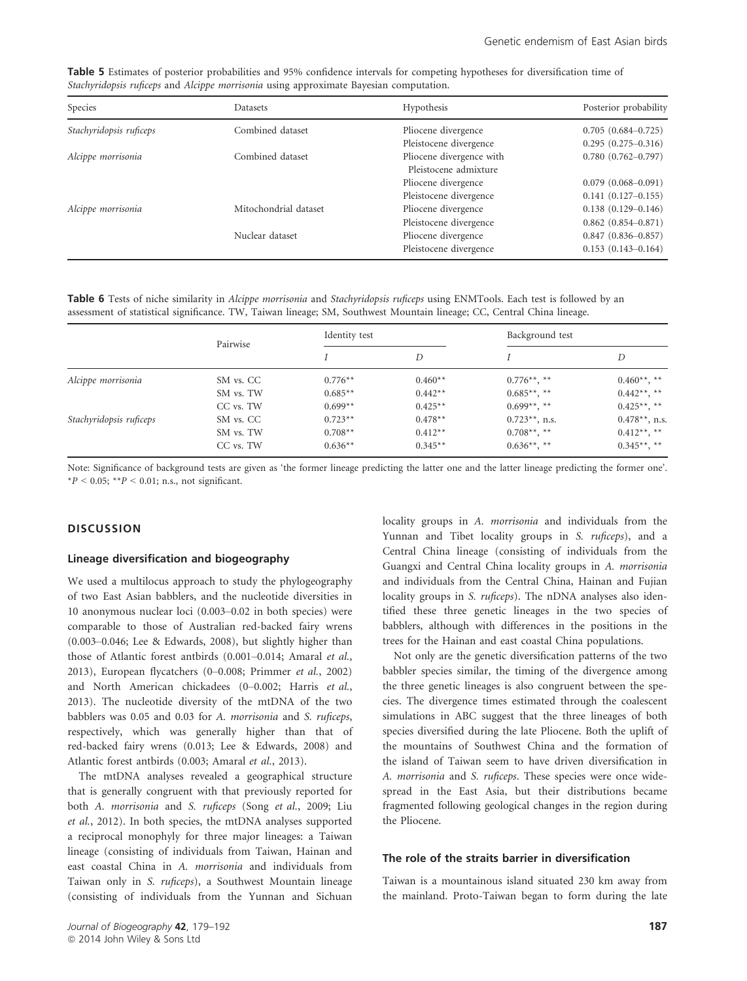| Table 5 Estimates of posterior probabilities and 95% confidence intervals for competing hypotheses for diversification time of |  |
|--------------------------------------------------------------------------------------------------------------------------------|--|
| Stachyridopsis ruficeps and Alcippe morrisonia using approximate Bayesian computation.                                         |  |

| Species                 | <b>Datasets</b>       | Hypothesis                                        | Posterior probability     |
|-------------------------|-----------------------|---------------------------------------------------|---------------------------|
| Stachyridopsis ruficeps | Combined dataset      | Pliocene divergence                               | $0.705(0.684 - 0.725)$    |
|                         |                       | Pleistocene divergence                            | $0.295(0.275 - 0.316)$    |
| Alcippe morrisonia      | Combined dataset      | Pliocene divergence with<br>Pleistocene admixture | $0.780(0.762 - 0.797)$    |
|                         |                       | Pliocene divergence                               | $0.079(0.068 - 0.091)$    |
|                         |                       | Pleistocene divergence                            | $0.141(0.127 - 0.155)$    |
| Alcippe morrisonia      | Mitochondrial dataset | Pliocene divergence                               | $0.138(0.129 - 0.146)$    |
|                         |                       | Pleistocene divergence                            | $0.862$ $(0.854 - 0.871)$ |
|                         | Nuclear dataset       | Pliocene divergence                               | $0.847$ $(0.836 - 0.857)$ |
|                         |                       | Pleistocene divergence                            | $0.153(0.143 - 0.164)$    |

| Table 6 Tests of niche similarity in Alcippe morrisonia and Stachyridopsis ruficeps using ENMTools. Each test is followed by an |  |  |  |  |
|---------------------------------------------------------------------------------------------------------------------------------|--|--|--|--|
| assessment of statistical significance. TW, Taiwan lineage; SM, Southwest Mountain lineage; CC, Central China lineage.          |  |  |  |  |

|                         | Pairwise  | Identity test |           | Background test  |                  |
|-------------------------|-----------|---------------|-----------|------------------|------------------|
|                         |           |               | D         |                  | D                |
| Alcippe morrisonia      | SM vs. CC | $0.776**$     | $0.460**$ | $0.776***$ , **  | $0.460**$ , **   |
|                         | SM vs. TW | $0.685**$     | $0.442**$ | $0.685**$ , **   | $0.442**$ , **   |
|                         | CC vs. TW | $0.699**$     | $0.425**$ | $0.699**$ , **   | $0.425**$ , **   |
| Stachyridopsis ruficeps | SM vs. CC | $0.723**$     | $0.478**$ | $0.723**$ , n.s. | $0.478**$ , n.s. |
|                         | SM vs. TW | $0.708**$     | $0.412**$ | $0.708**$ , **   | $0.412**$ , **   |
|                         | CC vs. TW | $0.636**$     | $0.345**$ | $0.636**$ , **   | $0.345**$ , **   |

Note: Significance of background tests are given as 'the former lineage predicting the latter one and the latter lineage predicting the former one'.  $*P < 0.05$ ;  $*P < 0.01$ ; n.s., not significant.

#### **DISCUSSION**

#### Lineage diversification and biogeography

We used a multilocus approach to study the phylogeography of two East Asian babblers, and the nucleotide diversities in 10 anonymous nuclear loci (0.003–0.02 in both species) were comparable to those of Australian red-backed fairy wrens (0.003–0.046; Lee & Edwards, 2008), but slightly higher than those of Atlantic forest antbirds (0.001–0.014; Amaral et al., 2013), European flycatchers (0–0.008; Primmer et al., 2002) and North American chickadees (0–0.002; Harris et al., 2013). The nucleotide diversity of the mtDNA of the two babblers was 0.05 and 0.03 for A. morrisonia and S. ruficeps, respectively, which was generally higher than that of red-backed fairy wrens (0.013; Lee & Edwards, 2008) and Atlantic forest antbirds (0.003; Amaral et al., 2013).

The mtDNA analyses revealed a geographical structure that is generally congruent with that previously reported for both A. morrisonia and S. ruficeps (Song et al., 2009; Liu et al., 2012). In both species, the mtDNA analyses supported a reciprocal monophyly for three major lineages: a Taiwan lineage (consisting of individuals from Taiwan, Hainan and east coastal China in A. morrisonia and individuals from Taiwan only in S. ruficeps), a Southwest Mountain lineage (consisting of individuals from the Yunnan and Sichuan locality groups in A. morrisonia and individuals from the Yunnan and Tibet locality groups in S. ruficeps), and a Central China lineage (consisting of individuals from the Guangxi and Central China locality groups in A. morrisonia and individuals from the Central China, Hainan and Fujian locality groups in S. ruficeps). The nDNA analyses also identified these three genetic lineages in the two species of babblers, although with differences in the positions in the trees for the Hainan and east coastal China populations.

Not only are the genetic diversification patterns of the two babbler species similar, the timing of the divergence among the three genetic lineages is also congruent between the species. The divergence times estimated through the coalescent simulations in ABC suggest that the three lineages of both species diversified during the late Pliocene. Both the uplift of the mountains of Southwest China and the formation of the island of Taiwan seem to have driven diversification in A. morrisonia and S. ruficeps. These species were once widespread in the East Asia, but their distributions became fragmented following geological changes in the region during the Pliocene.

#### The role of the straits barrier in diversification

Taiwan is a mountainous island situated 230 km away from the mainland. Proto-Taiwan began to form during the late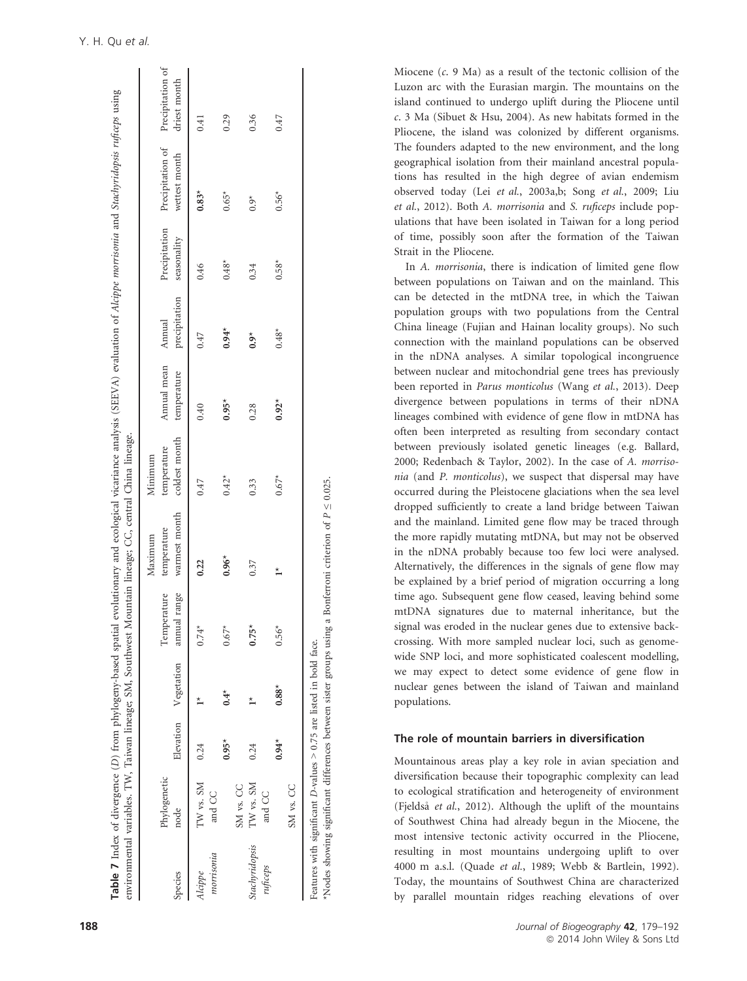| Species        | Phylogenetic<br>node   |         | Elevation Vegetation | Temperature | annual range warmest month<br>temperature<br>Maximum | coldest month temperature<br>temperature<br>Minimum | Annual mean Annual | precipitation | seasonality | Precipitation Precipitation of Precipitation of<br>wettest month | driest month |
|----------------|------------------------|---------|----------------------|-------------|------------------------------------------------------|-----------------------------------------------------|--------------------|---------------|-------------|------------------------------------------------------------------|--------------|
| Alcippe        | TW vs. SM              | 0.24    |                      | $0.74*$     | 0.22                                                 | 0.47                                                | 0.40               | 0.47          | 0.46        | $0.83*$                                                          | 0.41         |
| morrisonia     | and CC                 | $0.95*$ | $0.4^*$              | $0.67*$     | $0.96*$                                              | $0.42*$                                             | $0.95*$            | $0.94*$       | $0.48*$     | $0.65*$                                                          | 0.29         |
| Stachyridopsis | TW vs. SM<br>SM vs. CC | 0.24    |                      | $0.75*$     | 0.37                                                 | 0.33                                                | 0.28               | $0.9*$        | 0.34        | $0.9*$                                                           | 0.36         |
| ruficeps       | and CC                 | $0.94*$ | $0.88^*$             | $0.56*$     |                                                      | $0.67*$                                             | $0.92*$            | $0.48*$       | $0.58*$     | $0.56*$                                                          | 0.47         |
|                | SM vs. CC              |         |                      |             |                                                      |                                                     |                    |               |             |                                                                  |              |

\*Nodes showing significant differences between sister groups using a Bonferroni criterion of P ≤ 0.025.

Alodes showing significant differences between sister groups using a Bonferroni criterion of  $P \leq 0.025$ .

Miocene ( c. 9 Ma) as a result of the tectonic collision of the Luzon arc with the Eurasian margin. The mountains on the island continued to undergo uplift during the Pliocene until c. 3 Ma (Sibuet & Hsu, 2004). As new habitats formed in the Pliocene, the island was colonized by different organisms. The founders adapted to the new environment, and the long geographical isolation from their mainland ancestral populations has resulted in the high degree of avian endemism observed today (Lei et al., 2003a,b; Song et al., 2009; Liu et al., 2012). Both A. morrisonia and S. ruficeps include populations that have been isolated in Taiwan for a long period of time, possibly soon after the formation of the Taiwan Strait in the Pliocene.

In A. morrisonia, there is indication of limited gene flow between populations on Taiwan and on the mainland. This can be detected in the mtDNA tree, in which the Taiwan population groups with two populations from the Central China lineage (Fujian and Hainan locality groups). No such connection with the mainland populations can be observed in the nDNA analyses. A similar topological incongruence between nuclear and mitochondrial gene trees has previously been reported in Parus monticolus (Wang et al., 2013). Deep divergence between populations in terms of their nDNA lineages combined with evidence of gene flow in mtDNA has often been interpreted as resulting from secondary contact between previously isolated genetic lineages (e.g. Ballard, 2000; Redenbach & Taylor, 2002). In the case of A. morrisonia (and P. monticolus), we suspect that dispersal may have occurred during the Pleistocene glaciations when the sea level dropped sufficiently to create a land bridge between Taiwan and the mainland. Limited gene flow may be traced through the more rapidly mutating mtDNA, but may not be observed in the nDNA probably because too few loci were analysed. Alternatively, the differences in the signals of gene flow may be explained by a brief period of migration occurring a long time ago. Subsequent gene flow ceased, leaving behind some mtDNA signatures due to maternal inheritance, but the signal was eroded in the nuclear genes due to extensive backcrossing. With more sampled nuclear loci, such as genomewide SNP loci, and more sophisticated coalescent modelling, we may expect to detect some evidence of gene flow in nuclear genes between the island of Taiwan and mainland populations.

#### The role of mountain barriers in diversification

Mountainous areas play a key role in avian speciation and diversification because their topographic complexity can lead to ecological stratification and heterogeneity of environment (Fjeldså et al., 2012). Although the uplift of the mountains of Southwest China had already begun in the Miocene, the most intensive tectonic activity occurred in the Pliocene, resulting in most mountains undergoing uplift to over 4000 m a.s.l. (Quade et al., 1989; Webb & Bartlein, 1992). Today, the mountains of Southwest China are characterized by parallel mountain ridges reaching elevations of over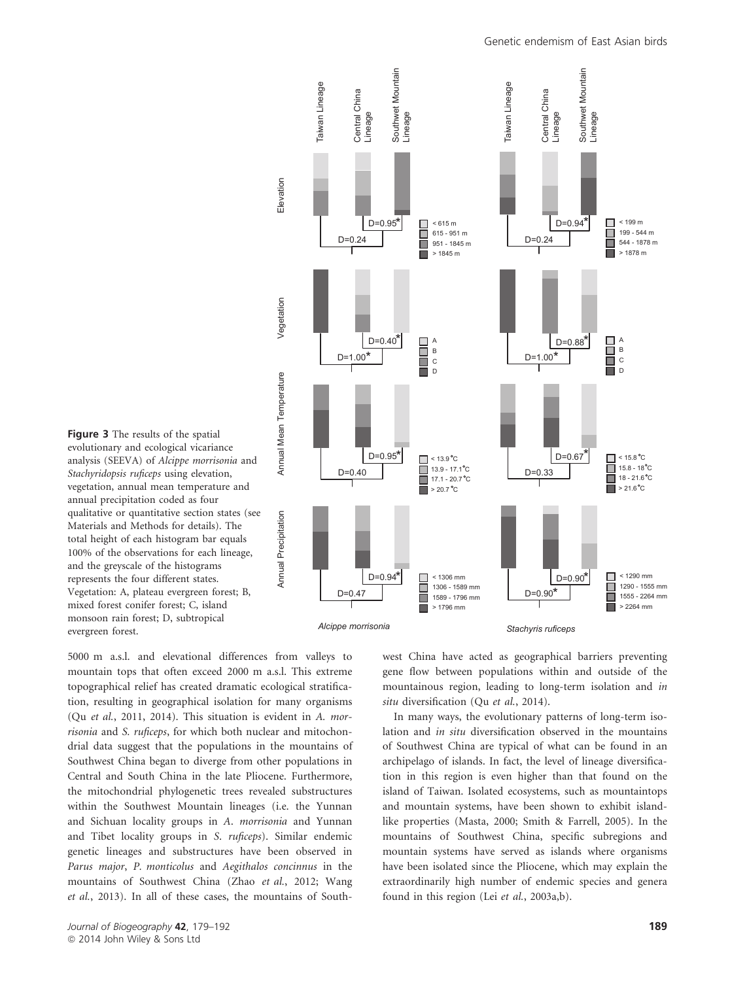

Figure 3 The results of the spatial evolutionary and ecological vicariance analysis (SEEVA) of Alcippe morrisonia and Stachyridopsis ruficeps using elevation, vegetation, annual mean temperature and annual precipitation coded as four qualitative or quantitative section states (see Materials and Methods for details). The total height of each histogram bar equals 100% of the observations for each lineage, and the greyscale of the histograms represents the four different states. Vegetation: A, plateau evergreen forest; B, mixed forest conifer forest; C, island monsoon rain forest; D, subtropical evergreen forest.

5000 m a.s.l. and elevational differences from valleys to mountain tops that often exceed 2000 m a.s.l. This extreme topographical relief has created dramatic ecological stratification, resulting in geographical isolation for many organisms (Qu et al., 2011, 2014). This situation is evident in A. morrisonia and S. ruficeps, for which both nuclear and mitochondrial data suggest that the populations in the mountains of Southwest China began to diverge from other populations in Central and South China in the late Pliocene. Furthermore, the mitochondrial phylogenetic trees revealed substructures within the Southwest Mountain lineages (i.e. the Yunnan and Sichuan locality groups in A. morrisonia and Yunnan and Tibet locality groups in S. ruficeps). Similar endemic genetic lineages and substructures have been observed in Parus major, P. monticolus and Aegithalos concinnus in the mountains of Southwest China (Zhao et al., 2012; Wang et al., 2013). In all of these cases, the mountains of South-

west China have acted as geographical barriers preventing gene flow between populations within and outside of the mountainous region, leading to long-term isolation and in situ diversification (Qu et al., 2014).

In many ways, the evolutionary patterns of long-term isolation and in situ diversification observed in the mountains of Southwest China are typical of what can be found in an archipelago of islands. In fact, the level of lineage diversification in this region is even higher than that found on the island of Taiwan. Isolated ecosystems, such as mountaintops and mountain systems, have been shown to exhibit islandlike properties (Masta, 2000; Smith & Farrell, 2005). In the mountains of Southwest China, specific subregions and mountain systems have served as islands where organisms have been isolated since the Pliocene, which may explain the extraordinarily high number of endemic species and genera found in this region (Lei et al., 2003a,b).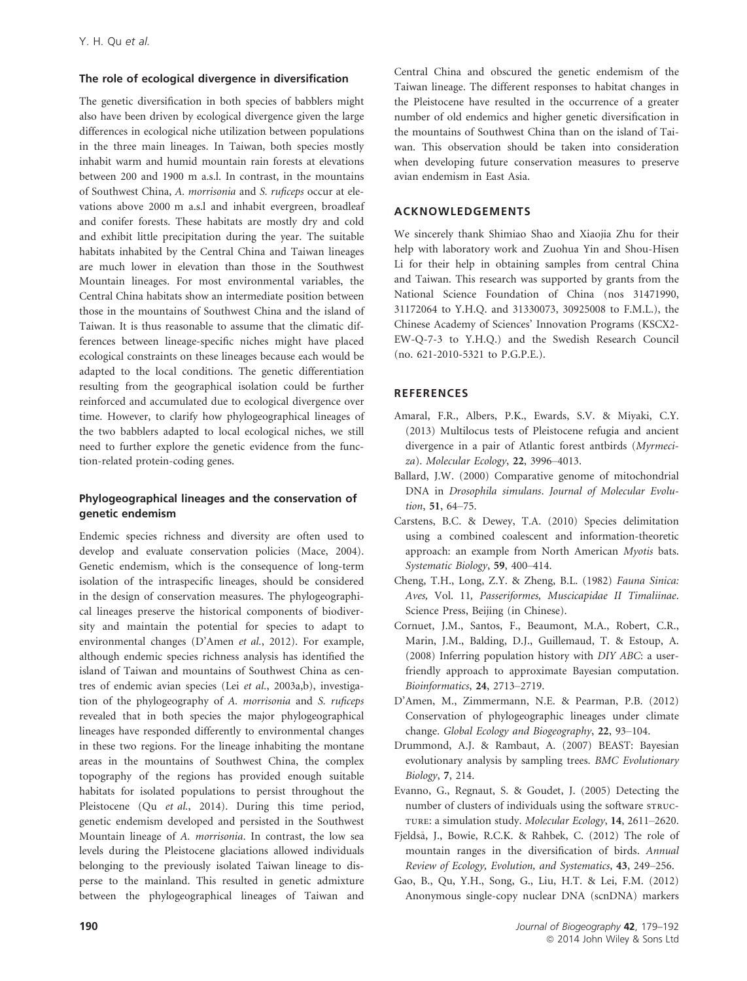## The role of ecological divergence in diversification

The genetic diversification in both species of babblers might also have been driven by ecological divergence given the large differences in ecological niche utilization between populations in the three main lineages. In Taiwan, both species mostly inhabit warm and humid mountain rain forests at elevations between 200 and 1900 m a.s.l. In contrast, in the mountains of Southwest China, A. morrisonia and S. ruficeps occur at elevations above 2000 m a.s.l and inhabit evergreen, broadleaf and conifer forests. These habitats are mostly dry and cold and exhibit little precipitation during the year. The suitable habitats inhabited by the Central China and Taiwan lineages are much lower in elevation than those in the Southwest Mountain lineages. For most environmental variables, the Central China habitats show an intermediate position between those in the mountains of Southwest China and the island of Taiwan. It is thus reasonable to assume that the climatic differences between lineage-specific niches might have placed ecological constraints on these lineages because each would be adapted to the local conditions. The genetic differentiation resulting from the geographical isolation could be further reinforced and accumulated due to ecological divergence over time. However, to clarify how phylogeographical lineages of the two babblers adapted to local ecological niches, we still need to further explore the genetic evidence from the function-related protein-coding genes.

## Phylogeographical lineages and the conservation of genetic endemism

Endemic species richness and diversity are often used to develop and evaluate conservation policies (Mace, 2004). Genetic endemism, which is the consequence of long-term isolation of the intraspecific lineages, should be considered in the design of conservation measures. The phylogeographical lineages preserve the historical components of biodiversity and maintain the potential for species to adapt to environmental changes (D'Amen et al., 2012). For example, although endemic species richness analysis has identified the island of Taiwan and mountains of Southwest China as centres of endemic avian species (Lei et al., 2003a,b), investigation of the phylogeography of A. morrisonia and S. ruficeps revealed that in both species the major phylogeographical lineages have responded differently to environmental changes in these two regions. For the lineage inhabiting the montane areas in the mountains of Southwest China, the complex topography of the regions has provided enough suitable habitats for isolated populations to persist throughout the Pleistocene (Qu et al., 2014). During this time period, genetic endemism developed and persisted in the Southwest Mountain lineage of A. morrisonia. In contrast, the low sea levels during the Pleistocene glaciations allowed individuals belonging to the previously isolated Taiwan lineage to disperse to the mainland. This resulted in genetic admixture between the phylogeographical lineages of Taiwan and Central China and obscured the genetic endemism of the Taiwan lineage. The different responses to habitat changes in the Pleistocene have resulted in the occurrence of a greater number of old endemics and higher genetic diversification in the mountains of Southwest China than on the island of Taiwan. This observation should be taken into consideration when developing future conservation measures to preserve avian endemism in East Asia.

## ACKNOWLEDGEMENTS

We sincerely thank Shimiao Shao and Xiaojia Zhu for their help with laboratory work and Zuohua Yin and Shou-Hisen Li for their help in obtaining samples from central China and Taiwan. This research was supported by grants from the National Science Foundation of China (nos 31471990, 31172064 to Y.H.Q. and 31330073, 30925008 to F.M.L.), the Chinese Academy of Sciences' Innovation Programs (KSCX2- EW-Q-7-3 to Y.H.Q.) and the Swedish Research Council (no. 621-2010-5321 to P.G.P.E.).

## **REFERENCES**

- Amaral, F.R., Albers, P.K., Ewards, S.V. & Miyaki, C.Y. (2013) Multilocus tests of Pleistocene refugia and ancient divergence in a pair of Atlantic forest antbirds (Myrmeciza). Molecular Ecology, 22, 3996–4013.
- Ballard, J.W. (2000) Comparative genome of mitochondrial DNA in Drosophila simulans. Journal of Molecular Evolution, 51, 64–75.
- Carstens, B.C. & Dewey, T.A. (2010) Species delimitation using a combined coalescent and information-theoretic approach: an example from North American Myotis bats. Systematic Biology, 59, 400–414.
- Cheng, T.H., Long, Z.Y. & Zheng, B.L. (1982) Fauna Sinica: Aves, Vol. 11, Passeriformes, Muscicapidae II Timaliinae. Science Press, Beijing (in Chinese).
- Cornuet, J.M., Santos, F., Beaumont, M.A., Robert, C.R., Marin, J.M., Balding, D.J., Guillemaud, T. & Estoup, A. (2008) Inferring population history with DIY ABC: a userfriendly approach to approximate Bayesian computation. Bioinformatics, 24, 2713–2719.
- D'Amen, M., Zimmermann, N.E. & Pearman, P.B. (2012) Conservation of phylogeographic lineages under climate change. Global Ecology and Biogeography, 22, 93–104.
- Drummond, A.J. & Rambaut, A. (2007) BEAST: Bayesian evolutionary analysis by sampling trees. BMC Evolutionary Biology, 7, 214.
- Evanno, G., Regnaut, S. & Goudet, J. (2005) Detecting the number of clusters of individuals using the software sTRUCture: a simulation study. Molecular Ecology, 14, 2611–2620.
- Fjeldså, J., Bowie, R.C.K. & Rahbek, C. (2012) The role of mountain ranges in the diversification of birds. Annual Review of Ecology, Evolution, and Systematics, 43, 249–256.
- Gao, B., Qu, Y.H., Song, G., Liu, H.T. & Lei, F.M. (2012) Anonymous single-copy nuclear DNA (scnDNA) markers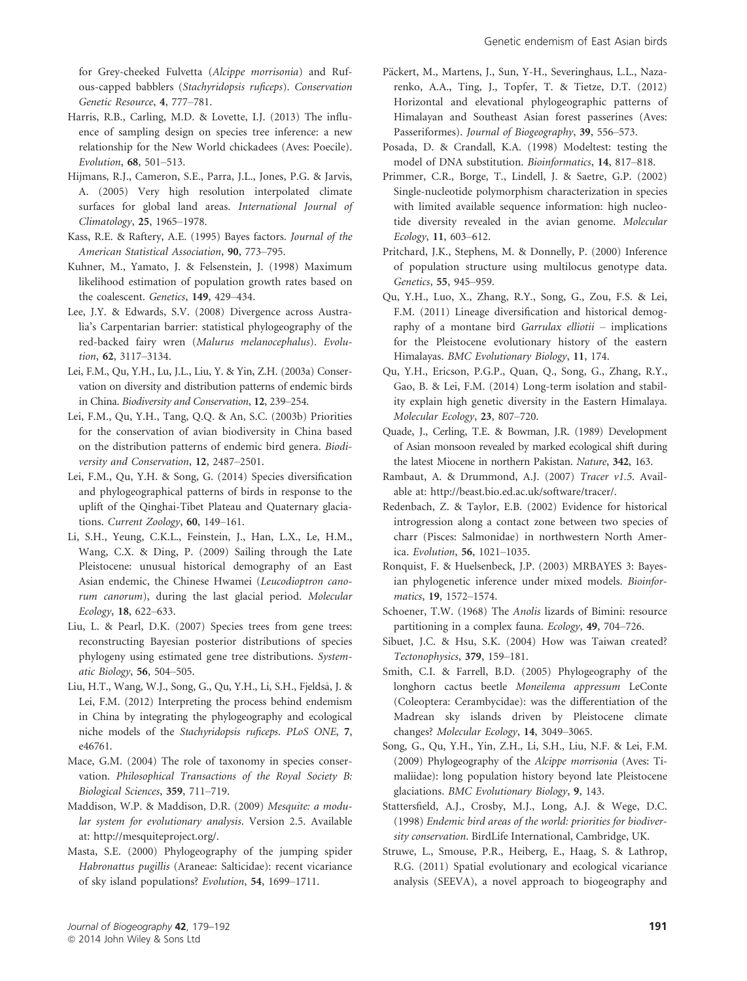for Grey-cheeked Fulvetta (Alcippe morrisonia) and Rufous-capped babblers (Stachyridopsis ruficeps). Conservation Genetic Resource, 4, 777–781.

- Harris, R.B., Carling, M.D. & Lovette, I.J. (2013) The influence of sampling design on species tree inference: a new relationship for the New World chickadees (Aves: Poecile). Evolution, 68, 501–513.
- Hijmans, R.J., Cameron, S.E., Parra, J.L., Jones, P.G. & Jarvis, A. (2005) Very high resolution interpolated climate surfaces for global land areas. International Journal of Climatology, 25, 1965–1978.
- Kass, R.E. & Raftery, A.E. (1995) Bayes factors. Journal of the American Statistical Association, 90, 773–795.
- Kuhner, M., Yamato, J. & Felsenstein, J. (1998) Maximum likelihood estimation of population growth rates based on the coalescent. Genetics, 149, 429–434.
- Lee, J.Y. & Edwards, S.V. (2008) Divergence across Australia's Carpentarian barrier: statistical phylogeography of the red-backed fairy wren (Malurus melanocephalus). Evolution, 62, 3117–3134.
- Lei, F.M., Qu, Y.H., Lu, J.L., Liu, Y. & Yin, Z.H. (2003a) Conservation on diversity and distribution patterns of endemic birds in China. Biodiversity and Conservation, 12, 239–254.
- Lei, F.M., Qu, Y.H., Tang, Q.Q. & An, S.C. (2003b) Priorities for the conservation of avian biodiversity in China based on the distribution patterns of endemic bird genera. Biodiversity and Conservation, 12, 2487–2501.
- Lei, F.M., Qu, Y.H. & Song, G. (2014) Species diversification and phylogeographical patterns of birds in response to the uplift of the Qinghai-Tibet Plateau and Quaternary glaciations. Current Zoology, 60, 149-161.
- Li, S.H., Yeung, C.K.L., Feinstein, J., Han, L.X., Le, H.M., Wang, C.X. & Ding, P. (2009) Sailing through the Late Pleistocene: unusual historical demography of an East Asian endemic, the Chinese Hwamei (Leucodioptron canorum canorum), during the last glacial period. Molecular Ecology, 18, 622–633.
- Liu, L. & Pearl, D.K. (2007) Species trees from gene trees: reconstructing Bayesian posterior distributions of species phylogeny using estimated gene tree distributions. Systematic Biology, 56, 504–505.
- Liu, H.T., Wang, W.J., Song, G., Qu, Y.H., Li, S.H., Fjeldså, J. & Lei, F.M. (2012) Interpreting the process behind endemism in China by integrating the phylogeography and ecological niche models of the Stachyridopsis ruficeps. PLoS ONE, 7, e46761.
- Mace, G.M. (2004) The role of taxonomy in species conservation. Philosophical Transactions of the Royal Society B: Biological Sciences, 359, 711–719.
- Maddison, W.P. & Maddison, D.R. (2009) Mesquite: a modular system for evolutionary analysis. Version 2.5. Available at: http://mesquiteproject.org/.
- Masta, S.E. (2000) Phylogeography of the jumping spider Habronattus pugillis (Araneae: Salticidae): recent vicariance of sky island populations? Evolution, 54, 1699–1711.
- Päckert, M., Martens, J., Sun, Y-H., Severinghaus, L.L., Nazarenko, A.A., Ting, J., Topfer, T. & Tietze, D.T. (2012) Horizontal and elevational phylogeographic patterns of Himalayan and Southeast Asian forest passerines (Aves: Passeriformes). Journal of Biogeography, 39, 556–573.
- Posada, D. & Crandall, K.A. (1998) Modeltest: testing the model of DNA substitution. Bioinformatics, 14, 817–818.
- Primmer, C.R., Borge, T., Lindell, J. & Saetre, G.P. (2002) Single-nucleotide polymorphism characterization in species with limited available sequence information: high nucleotide diversity revealed in the avian genome. Molecular Ecology, 11, 603–612.
- Pritchard, J.K., Stephens, M. & Donnelly, P. (2000) Inference of population structure using multilocus genotype data. Genetics, 55, 945–959.
- Qu, Y.H., Luo, X., Zhang, R.Y., Song, G., Zou, F.S. & Lei, F.M. (2011) Lineage diversification and historical demography of a montane bird Garrulax elliotii – implications for the Pleistocene evolutionary history of the eastern Himalayas. BMC Evolutionary Biology, 11, 174.
- Qu, Y.H., Ericson, P.G.P., Quan, Q., Song, G., Zhang, R.Y., Gao, B. & Lei, F.M. (2014) Long-term isolation and stability explain high genetic diversity in the Eastern Himalaya. Molecular Ecology, 23, 807–720.
- Quade, J., Cerling, T.E. & Bowman, J.R. (1989) Development of Asian monsoon revealed by marked ecological shift during the latest Miocene in northern Pakistan. Nature, 342, 163.
- Rambaut, A. & Drummond, A.J. (2007) Tracer v1.5. Available at: http://beast.bio.ed.ac.uk/software/tracer/.
- Redenbach, Z. & Taylor, E.B. (2002) Evidence for historical introgression along a contact zone between two species of charr (Pisces: Salmonidae) in northwestern North America. Evolution, 56, 1021–1035.
- Ronquist, F. & Huelsenbeck, J.P. (2003) MRBAYES 3: Bayesian phylogenetic inference under mixed models. Bioinformatics, 19, 1572–1574.
- Schoener, T.W. (1968) The Anolis lizards of Bimini: resource partitioning in a complex fauna. Ecology, 49, 704-726.
- Sibuet, J.C. & Hsu, S.K. (2004) How was Taiwan created? Tectonophysics, 379, 159–181.
- Smith, C.I. & Farrell, B.D. (2005) Phylogeography of the longhorn cactus beetle Moneilema appressum LeConte (Coleoptera: Cerambycidae): was the differentiation of the Madrean sky islands driven by Pleistocene climate changes? Molecular Ecology, 14, 3049–3065.
- Song, G., Qu, Y.H., Yin, Z.H., Li, S.H., Liu, N.F. & Lei, F.M. (2009) Phylogeography of the Alcippe morrisonia (Aves: Timaliidae): long population history beyond late Pleistocene glaciations. BMC Evolutionary Biology, 9, 143.
- Stattersfield, A.J., Crosby, M.J., Long, A.J. & Wege, D.C. (1998) Endemic bird areas of the world: priorities for biodiversity conservation. BirdLife International, Cambridge, UK.
- Struwe, L., Smouse, P.R., Heiberg, E., Haag, S. & Lathrop, R.G. (2011) Spatial evolutionary and ecological vicariance analysis (SEEVA), a novel approach to biogeography and